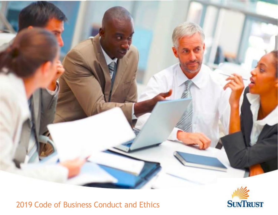



# Code of Business Conduct and Ethics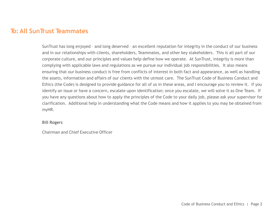# **To: All SunTrust Teammates**

SunTrust has long enjoyed – and long deserved – an excellent reputation for integrity in the conduct of our business and in our relationships with clients, shareholders, Teammates, and other key stakeholders. This is all part of our corporate culture, and our principles and values help define how we operate. At SunTrust, integrity is more than complying with applicable laws and regulations as we pursue our individual job responsibilities. It also means ensuring that our business conduct is free from conflicts of interest in both fact and appearance, as well as handling the assets, information and affairs of our clients with the utmost care. The SunTrust Code of Business Conduct and Ethics (the Code) is designed to provide guidance for all of us in these areas, and I encourage you to review it. If you identify an issue or have a concern, escalate upon identification; once you escalate, we will solve it as One Team. If you have any questions about how to apply the principles of the Code to your daily job, please ask your supervisor for clarification. Additional help in understanding what the Code means and how it applies to you may be obtained from myHR.

#### **Bill Rogers**

Chairman and Chief Executive Officer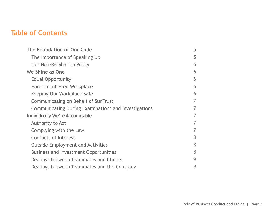# **Table of Contents**

| The Foundation of Our Code                           | 5 |
|------------------------------------------------------|---|
| The Importance of Speaking Up                        | 5 |
| <b>Our Non-Retaliation Policy</b>                    | 6 |
| We Shine as One                                      | 6 |
| <b>Equal Opportunity</b>                             | 6 |
| Harassment-Free Workplace                            | 6 |
| Keeping Our Workplace Safe                           | 6 |
| Communicating on Behalf of SunTrust                  |   |
| Communicating During Examinations and Investigations |   |
| <b>Individually We're Accountable</b>                |   |
| Authority to Act                                     |   |
| Complying with the Law                               |   |
| <b>Conflicts of Interest</b>                         | 8 |
| <b>Outside Employment and Activities</b>             | 8 |
| <b>Business and Investment Opportunities</b>         | 8 |
| Dealings between Teammates and Clients               | 9 |
| Dealings between Teammates and the Company           | 9 |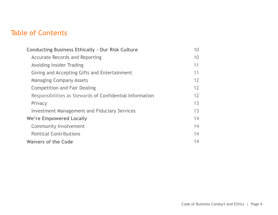# **Table of Contents**

| <b>Conducting Business Ethically - Our Risk Culture</b>  | 10 |
|----------------------------------------------------------|----|
| <b>Accurate Records and Reporting</b>                    | 10 |
| <b>Avoiding Insider Trading</b>                          | 11 |
| Giving and Accepting Gifts and Entertainment             | 11 |
| <b>Managing Company Assets</b>                           | 12 |
| <b>Competition and Fair Dealing</b>                      | 12 |
| Responsibilities as Stewards of Confidential Information | 12 |
| Privacy                                                  | 13 |
| <b>Investment Management and Fiduciary Services</b>      | 13 |
| We're Empowered Locally                                  | 14 |
| Community Involvement                                    | 14 |
| <b>Political Contributions</b>                           | 14 |
| <b>Waivers of the Code</b>                               | 14 |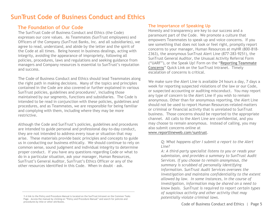# **SunTrust Code of Business Conduct and Ethics**

# **The Foundation of Our Code**

The SunTrust Code of Business Conduct and Ethics (the Code) expresses our core values. As Teammates (SunTrust employees) and Officers of the Company (SunTrust Banks, Inc. and all subsidiaries), we agree to read, understand, and abide by the letter and the spirit of the Code at all times. Being honest in business dealings, acting with integrity, avoiding the appearance of impropriety, following all policies, procedures, laws and regulations and seeking guidance from managers and Company resources is essential to SunTrust's reputation and success.

The Code of Business Conduct and Ethics should lead Teammates along the right path in making decisions. Many of the topics and principles contained in the Code are also covered or further explained in various SunTrust policies, guidelines and procedures<sup>1</sup>, including those maintained by our segments, functions and subsidiaries. The Code is intended to be read in conjunction with these policies, guidelines and procedures, and as Teammates, we are responsible for being familiar and complying with them, including where they may be more restrictive.

Although the Code and SunTrust's policies, guidelines and procedures are intended to guide personal and professional day-to-day conduct, they are not intended to address every issue or situation that may arise. These materials provide basic principles and concepts to guide us in conducting our business ethically. We should continue to rely on common sense, sound judgment and individual integrity to determine proper conduct. If you have any questions regarding Code or what to do in a particular situation, ask your manager, Human Resources, SunTrust's General Auditor, SunTrust's Ethics Officer or any of the other resources identified in this Code. When in doubt – ask.

### **The Importance of Speaking Up**

Honesty and transparency are key to our success and a paramount part of the Code. We promote a culture that empowers Teammates to speak up and voice concerns. If you see something that does not look or feel right, promptly report concerns to your manager, Human Resources at myHR (800-818- 2363), the anonymous SunTrust Alert Line (877-283-9251), the SunTrust General Auditor, the Unusual Activity Referral Form ("UARF"), or the Speak Up! Form on the "[Reporting Teammate](http://reportconcerns.suntrust.com/)  [Concerns](http://reportconcerns.suntrust.com/)" Quick Link on the SunTrust Intranet. Timely escalation of concerns is critical.

We make sure the Alert Line is available 24 hours a day, 7 days a week for reporting suspected violations of the law or our Code, or suspected accounting or auditing misconduct. You may report any type of concern to the Alert Line if you wish to remain anonymous. Other than for anonymous reporting, the Alert Line should not be used to report Human Resources-related matters or criminal or financial activity that is unrelated to SunTrust business. Those concerns should be reported to the appropriate channel. All calls to the Alert Line are confidential, and you may choose to remain anonymous. Instead of calling, you may also submit concerns online at

#### [www.reportlineweb.com/suntrust.](http://www.reportlineweb.com/suntrust)

*Q: What happens after I submit a report to the Alert Line?*

*A: A third-party specialist listens to you or reads your submission, and provides a summary to SunTrust Audit Services. If you choose to remain anonymous, the summary is scrubbed of personally identifying information. SunTrust Audit Services oversees the investigation and maintains confidentiality to the extent allowed by law. In some instances, in the course of investigation, information may be shared on a need to know basis. SunTrust is required to report certain types of suspicious activity and other activity that may* 

<sup>1</sup> A link to the Policy and Procedure Manual is located on the SunTrust Intranet on the Common Tasks *potentially violate criminal laws.* Page. Access the manual by clicking on "Policy and Procedure Manual" and search for policies and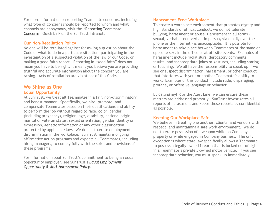For more information on reporting Teammate concerns, including what type of concerns should be reported to whom and what channels are anonymous, visit the "[Reporting Teammate](http://reportconcerns.suntrust.com/)  [Concerns](http://reportconcerns.suntrust.com/)" Quick Link on the SunTrust Intranet.

#### **Our Non-Retaliation Policy**

No one will be retaliated against for asking a question about the Code or what to do in a particular situation, participating in the investigation of a suspected violation of the law or our Code, or making a good faith report. Reporting in "good faith" does not mean you have to be right. It means you believe you are providing truthful and accurate information about the concern you are raising. Acts of retaliation are violations of this Code.

### **We Shine as One Equal Opportunity**

At SunTrust, we treat all Teammates in a fair, non-discriminatory and honest manner. Specifically, we hire, promote, and compensate Teammates based on their qualifications and ability to perform the job without regard to race, color, gender (including pregnancy), religion, age, disability, national origin, marital or veteran status, sexual orientation, gender identity or expression, genetic information or any other classification protected by applicable law. We do not tolerate employment discrimination in the workplace. SunTrust maintains ongoing affirmative action programs and expects all Teammates, including hiring managers, to comply fully with the spirit and provisions of these programs.

For information about SunTrust's commitment to being an equal opportunity employer, see SunTrust's *[Equal Employment](http://ppm.suntrust.com/docview/?docid=132403)  [Opportunity & Anti-Harassment Policy](http://ppm.suntrust.com/docview/?docid=132403).*

#### **Harassment-Free Workplace**

To create a workplace environment that promotes dignity and high standards of ethical conduct, we do not tolerate bullying, harassment or abuse. Harassment in all forms – sexual, verbal or non-verbal, in person, via email, over the phone or the internet – is unacceptable. It is possible for harassment to take place between Teammates of the same or opposite sex, in the office or at off-site events. Examples of harassment include racial slurs, derogatory comments, insults, and inappropriate jokes or gestures, including staring or touching. We all have the responsibility to speak up if we see or suspect discrimination, harassment, or other conduct that interferes with your or another Teammate's ability to work. Examples of this conduct include rude, disparaging, profane, or offensive language or behavior.

By calling myHR or the Alert Line, we can ensure these matters are addressed promptly. SunTrust investigates all reports of harassment and keeps these reports as confidential as possible.

#### **Keeping Our Workplace Safe**

We believe in treating one another, clients, and vendors with respect, and maintaining a safe work environment. We do not tolerate possession of a weapon while on Company property or while engaged in Company business. The only exception is where state law specifically allows a Teammate to possess a legally-owned firearm that is locked out of sight in a Teammate's privately-owned motor vehicle. If you see inappropriate behavior, you must speak up immediately.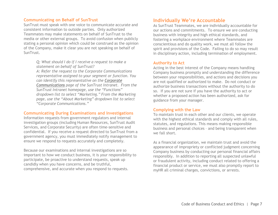#### **Communicating on Behalf of SunTrust**

SunTrust must speak with one voice to communicate accurate and consistent information to outside parties. Only authorized Teammates may make statements on behalf of SunTrust to the media or other external groups. To avoid confusion when publicly stating a personal opinion which could be construed as the opinion of the Company, make it clear you are not speaking on behalf of SunTrust.

> *Q: What should I do if I receive a request to make a statement on behalf of SunTrust?*

*A: Refer the request to the Corporate Communications representative assigned to your segment or function. You can identify this representative on the [Corporate](http://marketing.suntrust.com/AboutUs/CorpComm.asp)  [Communications](http://marketing.suntrust.com/AboutUs/CorpComm.asp) page of the SunTrust Intranet. From the SunTrust Intranet homepage, use the "Functions" dropdown list to select "Marketing." From the Marketing page, use the "About Marketing" dropdown list to select "Corporate Communications."* 

#### **Communicating During Examinations and Investigations**

Information requests from government regulators and internal investigation groups (including Human Resources, SunTrust Audit Services, and Corporate Security) are often time-sensitive and confidential. If you receive a request directed to SunTrust from a government agency, you must immediately notify management to ensure we respond to requests accurately and completely.

Because our examinations and internal investigations are so important to how we conduct business, it is your responsibility to participate, be proactive to understand requests, speak up candidly when you have concerns, and be truthful, comprehensive, and accurate when you respond to requests.

#### **Individually We're Accountable**

As SunTrust Teammates, we are individually accountable for our actions and commitments. To ensure we are conducting business with integrity and high ethical standards, and fostering a workplace environment where Teammates are conscientious and do quality work, we must all follow the spirit and provisions of the Code. Failing to do so may result in disciplinary action, including termination of employment.

#### **Authority to Act**

Acting in the best interest of the Company means handling Company business promptly and understanding the difference between your responsibilities, and actions and decisions you are not qualified or authorized to make. Do not conduct or authorize business transactions without the authority to do so. If you are not sure if you have the authority to act or whether a proposed action has been authorized, ask for guidance from your manager.

#### **Complying with the Law**

To maintain trust in each other and our clients, we operate with the highest ethical standards and comply with all rules, statutes, and regulations. This means making responsible business and personal choices – and being transparent when we fall short.

As a financial organization, we maintain trust and avoid the appearance of impropriety or conflicted judgment concerning Company business by conducting our personal financial affairs responsibly. In addition to reporting all suspected unlawful or fraudulent activity, including conduct related to offering a financial product or service, we must also promptly report to myHR all criminal charges, convictions, or arrests.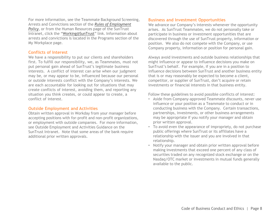For more information, see the Teammate Background Screening, Arrests and Convictions section of the *[Rules of Employment](http://ppm.suntrust.com/docview/?docid=151485)  [Policy](http://ppm.suntrust.com/docview/?docid=151485)*, or from the Human Resources page of the SunTrust Intranet, click the "[Working@SunTrust](mailto:Working@SunTrust)" link. Information about arrests and convictions is located in the Programs section of the My Workplace page.

#### **Conflicts of Interest**

We have a responsibility to put our clients and shareholders first. To fulfill our responsibility, we, as Teammates, must not put personal gain ahead of SunTrust's legitimate business interests. A conflict of interest can arise when our judgment may be, or may appear to be, influenced because our personal or outside interests conflict with the Company's interests. We are each accountable for looking out for situations that may create conflicts of interest, avoiding them, and reporting any situation you think creates, or could appear to create, a conflict of interest.

#### **Outside Employment and Activities**

Obtain written approval in Workday from your manager before accepting positions with for-profit and non-profit organizations, or employment with outside companies. For more information, see Outside Employment and Activities Guidance on the SunTrust Intranet. Note that some areas of the bank require additional prior written approvals.

#### **Business and Investment Opportunities**

We advance our Company's interests whenever the opportunity arises. As SunTrust Teammates, we do not personally take or participate in business or investment opportunities that are discovered through the use of SunTrust property, information or position. We also do not compete with the Company, or use Company property, information or position for personal gain.

Always avoid investments and outside business relationships that might influence or appear to influence decisions you make on SunTrust's behalf. For example, if you are in a position to influence decisions between SunTrust and another business entity that is or may reasonably be expected to become a client, competitor, or supplier of SunTrust, don't acquire or retain investments or financial interests in that business entity.

Follow these guidelines to avoid possible conflicts of interest:

- Aside from Company-approved Teammate discounts, never use influence or your position as a Teammate to conduct or in conducting business with the Company. Certain transactions, partnerships, investments, or other business arrangements may be appropriate if you notify your manager and obtain prior written approval.
- To avoid even the appearance of impropriety, do not purchase public offerings where SunTrust or its affiliates have a relationship with the issuer and you are involved in that relationship.
- Notify your manager and obtain prior written approval before making investments that exceed one percent of any class of securities traded on any recognized stock exchange or on the Nasdaq/OTC market or investments in mutual funds generally available to the public.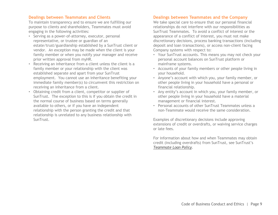#### **Dealings between Teammates and Clients**

To maintain transparency and to ensure we are fulfilling our purpose to clients and shareholders, Teammates must avoid engaging in the following activities:

- Serving as a power-of-attorney, executor, personal representative, or trustee or guardian of an estate/trust/guardianship established by a SunTrust client or vendor. An exception may be made when the client is your family member or when you notify your manager and receive prior written approval from myHR.
- Receiving an inheritance from a client unless the client is a family member or your relationship with the client was established separate and apart from your SunTrust employment. You cannot use an inheritance benefiting your immediate family member(s) to circumvent this restriction on receiving an inheritance from a client.
- Obtaining credit from a client, competitor or supplier of SunTrust. The exception to this is if you obtain the credit in the normal course of business based on terms generally available to others, or if you have an independent relationship with the person granting the credit and that relationship is unrelated to any business relationship with SunTrust.

#### **Dealings between Teammates and the Company**

We take special care to ensure that our personal financial relationships do not interfere with our responsibilities as SunTrust Teammates. To avoid a conflict of interest or the appearance of a conflict of interest, you must not make discretionary decisions, process banking transactions (including deposit and loan transactions), or access non-client facing Company systems with respect to:

- Your SunTrust accounts. This means you may not check your personal account balances on SunTrust platform or mainframe systems.
- Accounts of your family members or other people living in your household.
- Anyone's account with which you, your family member, or other people living in your household have a personal or financial relationship.
- Any entity's account in which you, your family member, or other people living in your household have a material management or financial interest.
- Personal accounts of other SunTrust Teammates unless a non-Teammate would receive the same consideration.

Examples of discretionary decisions include approving extensions of credit or overdrafts, or waiving service charges or late fees.

For information about how and when Teammates may obtain credit (including overdrafts) from SunTrust, see SunTrust's *[Teammate Loan Policy](http://ppm.suntrust.com/docview/?docid=140245)*.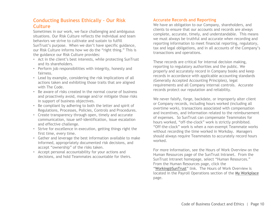## **Conducting Business Ethically – Our Risk Culture**

Sometimes in our work, we face challenging and ambiguous situations. Our Risk Culture reflects the individual and team behaviors we strive to cultivate and sustain to fulfill SunTrust's purpose. When we don't have specific guidance, our Risk Culture informs how we do the "right thing." This is the guidance our Risk Culture provides:

- Act in the client's best interests, while protecting SunTrust and its shareholders.
- Perform job responsibilities with integrity, honesty and fairness.
- Lead by example, considering the risk implications of all actions taken and exhibiting those traits that are aligned with The Code.
- Be aware of risks created in the normal course of business and proactively avoid, manage and/or mitigate those risks in support of business objectives.
- Be compliant by adhering to both the letter and spirit of Regulations, Processes, Policies, Controls and Procedures.
- Create transparency through open, timely and accurate communication, issue self-identification, issue escalation and effective challenge.
- Strive for excellence in execution, getting things right the first time, every time.
- Gather and leverage the best information available to make informed, appropriately documented risk decisions, and accept "ownership" of the risks taken.
- Accept personal accountability for your actions and decisions, and hold Teammates accountable for theirs.

#### **Accurate Records and Reporting**

We have an obligation to our Company, shareholders, and clients to ensure that our accounts and records are always complete, accurate, timely, and understandable. This means we must always be truthful and accurate when recording and reporting information to meet financial reporting, regulatory, tax and legal obligations, and in all accounts of the Company's transactions and operations.

These records are critical for internal decision making, reporting to regulatory authorities and the public. We properly and accurately record in Company books and keep records in accordance with applicable accounting standards (Generally Accepted Accounting Principles), legal requirements and all Company internal controls. Accurate records protect our reputation and reliability.

We never falsify, forge, backdate, or improperly alter client or Company records, including hours worked (including all overtime work), transactions associated with compensation and incentives, and information related to the reimbursement of expenses. So SunTrust can compensate Teammates for hours worked, "off-the-clock" work is strictly prohibited. "Off-the-clock" work is when a non-exempt Teammate works without recording the time worked in Workday. Managers should always require Teammates to accurately record hours worked.

For more information, see the Hours of Work Overview on the Human Resources page of the SunTrust Intranet. From the SunTrust Intranet homepage, select "Human Resources." From the Human Resources page, click the "[Working@SunTrust](mailto:Working@SunTrust)" link. The Hours of Work Overview is located in the Payroll Operations section of the [My Workplace](http://sites.suntrust.com/teams/HumanResources/MyWorkplace/Pages/home.aspx) page.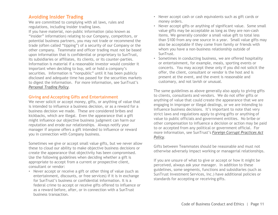### **Avoiding Insider Trading**

We are committed to complying with all laws, rules and regulations, including insider trading laws.

If you have material, non-public information (also known as "insider" information) relating to our Company, competitors, or potential business partners, you may not trade or recommend the trade (often called "tipping") of a security of our Company or the other company. Teammate and officer trading must not be based upon information that is confidential or proprietary to SunTrust, its subsidiaries or affiliates, its clients, or its counter-parties. Information is material if a reasonable investor would consider it important when deciding to buy, sell or hold a company's securities. Information is "nonpublic" until it has been publicly disclosed and adequate time has passed for the securities markets to digest the information. For more information, see SunTrust's *[Personal Trading Policy](http://ppm.suntrust.com/docview/?docid=143025).*

#### **Giving and Accepting Gifts and Entertainment**

We never solicit or accept money, gifts, or anything of value that is intended to influence a business decision, or as a reward for a business decision we made. These are considered bribes and kickbacks, which are illegal. Even the appearance that a gift might influence our objective business judgment can harm our reputation and erode our relationships. Always notify your manager if anyone offers a gift intended to influence or reward you in connection with Company business.

Sometimes we give or accept small value gifts, but we never allow these to cloud our ability to make objective business decisions or create the appearance that objectivity has been compromised. Use the following guidelines when deciding whether a gift is appropriate to accept from a current or prospective client, consultant or vendor:

• Never accept or receive a gift or other thing of value (such as entertainment, discounts, or free services) if it is in exchange for SunTrust's business or confidential information. It is a federal crime to accept or receive gifts offered to influence or as a reward before, after, or in connection with a SunTrust business transaction.

- Never accept cash or cash equivalents such as gift cards or money orders.
- Never accept gifts or anything of significant value. Some small value gifts may be acceptable as long as they are non-cash items. We generally consider a small value gift to total less than \$100 from any one source in a year. Small value gifts may also be acceptable if they come from family or friends with whom you have a non-business relationship outside of SunTrust.
- Sometimes in conducting business, we are offered hospitality or entertainment, for example, meals, sporting events or concerts. You may accept these only if you did not solicit the offer, the client, consultant or vendor is the host and is present at the event, and the event is reasonable and customary, and not lavish or unusual.

The same guidelines as above generally also apply to *giving* gifts to clients, consultants and vendors. We do not offer gifts or anything of value that could create the appearance that we are engaging in improper or illegal dealings, or we are intending to influence business decisions. It's important to note that very strict laws and regulations apply to giving gifts or anything of value to public officials and government entities. No bribe or other compensation to influence a decision or action may be paid to or accepted from any political or government official. For more information, see SunTrust's *[Foreign Corrupt Practices Act](http://ppm.suntrust.com/docview/?docid=144726)  [Policy](http://ppm.suntrust.com/docview/?docid=144726)*.

Gifts between Teammates should be reasonable and must not otherwise adversely impact working or managerial relationships.

If you are unsure of what to give or accept or how it might be perceived, always ask your manager. In addition to these guidelines, some segments, functions and subsidiaries (such as SunTrust Investment Services, Inc.) have additional policies or standards for accepting or receiving gifts.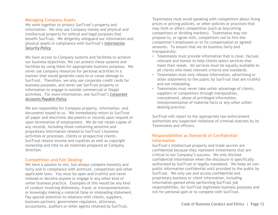#### **Managing Company Assets**

We work together to protect SunTrust's property and information. We only use Company money and physical and intellectual property for ethical and legal purposes that benefit SunTrust. We diligently safeguard our information and physical assets in compliance with SunTrust's *[Information](http://ppm.suntrust.com/docview/?docid=132578)  [Security Policy](http://ppm.suntrust.com/docview/?docid=132578).*

We have access to Company systems and facilities to achieve our business objectives. We can protect these systems and facilities by using them for appropriate business purposes. We never use company resources for personal activities in a manner that would generate costs to or cause damage to SunTrust. Therefore, we only use corporate credit cards for business purposes, and never use SunTrust property or information to engage in outside commercial or illegal activities. For more information, see SunTrust's *[Corporate](http://ppm.suntrust.com/docview/?docid=151996)  [Accounts Payable Policy](http://ppm.suntrust.com/docview/?docid=151996)*.

We are responsible for Company property, information, and documents issued to us. We immediately return to SunTrust all paper and electronic documents or records upon request or upon termination of employment. We do not retain copies of any records, including those containing sensitive and proprietary information related to SunTrust's business activities or processes, clients or prospective clients. SunTrust retains income and royalties as well as copyright ownership and title to all materials prepared at Company direction.

#### **Competition and Fair Dealing**

We have a passion to win, but always compete honestly and fairly and in compliance with antitrust, competition and other applicable laws. You must be open and truthful and never mislead or deceive anyone or engage in any other kind of unfair business practice. Examples of this would be any kind of conduct involving dishonesty, fraud, or misrepresentation, or knowingly making a material false or misleading statement. Pay special attention to relations with clients, suppliers, business partners, government regulators, attorneys, accountants, auditors or other agents retained by SunTrust.

Teammates must avoid speaking with competitors about fixing prices or pricing policies, or other policies or practices that may limit or affect competition (such as boycotting competitors or dividing markets). Teammates may not propose to, or agree with, competitors not to hire the competitor's employees or to fix compensation at agreed amounts. To ensure that we do business fairly and transparently:

- Teammates must provide information that is clear, factual, relevant and honest to help clients select services that meet their needs. All services must be equally available to all clients who meet relevant criteria and standards.
- Teammates must only release information, advertising or other statements to the public by SunTrust that are truthful and not misleading.
- Teammates must never take unfair advantage of clients, suppliers or competitors through manipulation, concealment, abuse of privileged information, misrepresentation of material facts or any other unfairdealing practice.

SunTrust will report to the appropriate law enforcement authorities any suspected violations of criminal statutes by its Teammates and officers.

#### **Responsibilities as Stewards of Confidential Information**

SunTrust's intellectual property and trade secrets are confidential because they represent investments that are critical to our Company's success. We only disclose confidential information when the disclosure is specifically authorized by SunTrust or legally mandated. We keep all nonpublic information confidential until provided to the public by SunTrust. We only use and access confidential and proprietary business or client information, including information gained while performing SunTrust job responsibilities, for SunTrust legitimate business purposes and not for personal gain or to compete with SunTrust.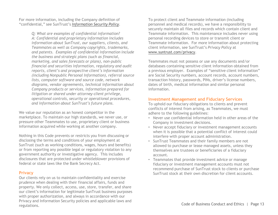For more information, including the Company definition of "confidential," see SunTrust's *[Information Security Policy](http://ppm.suntrust.com/docview/?docid=132578)*.

> *Q: What are examples of confidential information? A: Confidential and proprietary information includes information about SunTrust, our suppliers, clients, and Teammates as well as Company copyrights, trademarks, and patents. Examples of confidential information include the business and strategic plans (such as financial, marketing, and sales forecasts or plans), non-public financial and securities information, regulatory and audit reports, client's and prospective client's information (including Nonpublic Personal Information), referral source lists, computer software and source code, network diagrams, vendor agreements, technical information about Company products or services, information prepared for litigation or shared under attorney-client privilege, operational controls, security or operational procedures, and information about SunTrust's future plans.*

We value our reputation as an honest competitor in the marketplace. To maintain our high standards, we never use, or pressure other Teammates to use, proprietary client or business information acquired while working at another company.

Nothing in this Code prevents or restricts you from discussing or disclosing the terms and conditions of your employment at SunTrust (such as working conditions, wages, hours and benefits) or from reporting any possible legal or regulatory violation to any government authority or investigative agency. This includes disclosures that are protected under whistleblower provisions of federal or state laws like the Bank Secrecy Act.

#### **Privacy**

Our clients rely on us to maintain confidentiality and exercise prudence when dealing with their financial affairs, funds and property. We only collect, access, use, store, transfer, and share our client's information for legitimate SunTrust business purposes with proper authorization, and always in accordance with our Privacy and Information Security policies and applicable laws and regulations.

To protect client and Teammate information (including personnel and medical records), we have a responsibility to securely maintain all files and records which contain client and Teammate information. This maintenance includes never using personal recording devices to store or transmit client or Teammate information. For more information about protecting client information, see SunTrust's *Privacy Policy* at [www.suntrust.com/privacy.](http://www.suntrust.com/privacy)

Teammates must not possess or use any documents and/or databases containing sensitive client information obtained from a previous employer. Examples of "sensitive client information" are Social Security numbers, account records, account numbers, transaction history, passwords, PINs, driver's license numbers, dates of birth, medical information and similar personal information.

#### **Investment Management and Fiduciary Services**

To uphold our fiduciary obligations to clients and prevent conflicts of interest from arising, as Teammates, we must adhere to the following guidelines:

- Never use confidential information held in other areas of the Company in investment decisions.
- Never accept fiduciary or investment management accounts when it is possible that a potential conflict of interest could interfere with proper account administration.
- SunTrust Teammates and their family members are not allowed to purchase or lease managed assets, unless they themselves are trustees or beneficiaries of a fiduciary account.
- Teammates that provide investment advice or manage fiduciary or investment management accounts must not recommend purchase of SunTrust stock to clients or purchase SunTrust stock at their own discretion for client accounts.